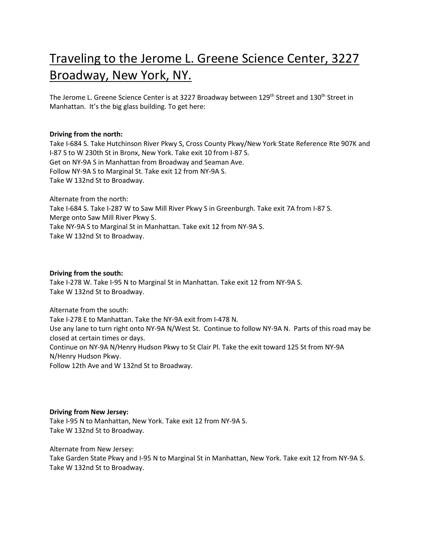# Traveling to the Jerome L. Greene Science Center, 3227 Broadway, New York, NY.

The Jerome L. Greene Science Center is at 3227 Broadway between 129<sup>th</sup> Street and 130<sup>th</sup> Street in Manhattan. It's the big glass building. To get here:

## **Driving from the north:**

Take I-684 S. Take Hutchinson River Pkwy S, Cross County Pkwy/New York State Reference Rte 907K and I-87 S to W 230th St in Bronx, New York. Take exit 10 from I-87 S. Get on NY-9A S in Manhattan from Broadway and Seaman Ave. Follow NY-9A S to Marginal St. Take exit 12 from NY-9A S. Take W 132nd St to Broadway.

Alternate from the north: Take I-684 S. Take I-287 W to Saw Mill River Pkwy S in Greenburgh. Take exit 7A from I-87 S. Merge onto Saw Mill River Pkwy S. Take NY-9A S to Marginal St in Manhattan. Take exit 12 from NY-9A S. Take W 132nd St to Broadway.

## **Driving from the south:**

Take I-278 W. Take I-95 N to Marginal St in Manhattan. Take exit 12 from NY-9A S. Take W 132nd St to Broadway.

Alternate from the south: Take I-278 E to Manhattan. Take the NY-9A exit from I-478 N. Use any lane to turn right onto NY-9A N/West St. Continue to follow NY-9A N. Parts of this road may be closed at certain times or days. Continue on NY-9A N/Henry Hudson Pkwy to St Clair Pl. Take the exit toward 125 St from NY-9A N/Henry Hudson Pkwy. Follow 12th Ave and W 132nd St to Broadway.

## **Driving from New Jersey:**

Take I-95 N to Manhattan, New York. Take exit 12 from NY-9A S. Take W 132nd St to Broadway.

Alternate from New Jersey:

Take Garden State Pkwy and I-95 N to Marginal St in Manhattan, New York. Take exit 12 from NY-9A S. Take W 132nd St to Broadway.